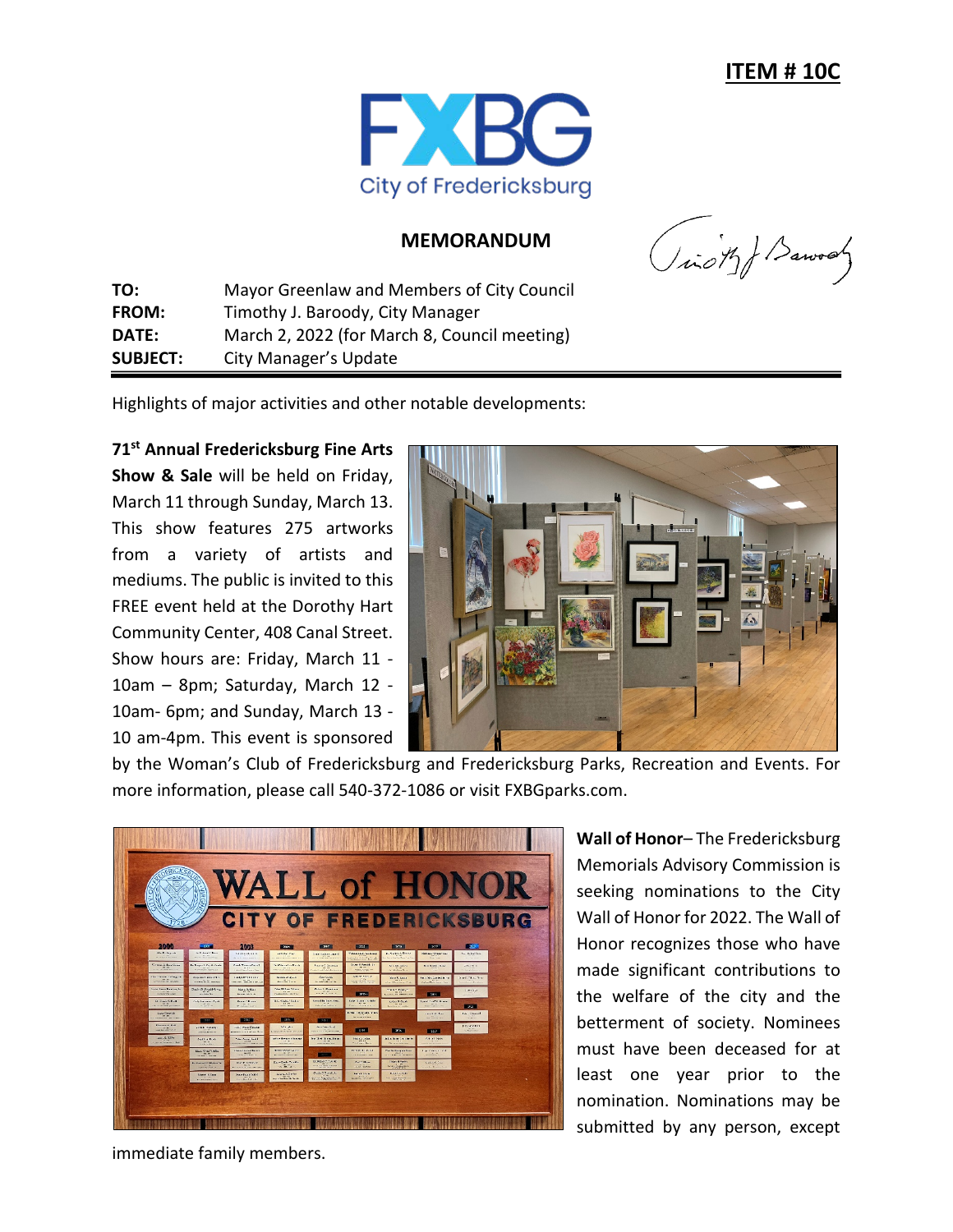

## **MEMORANDUM**

(icity) Barvay

**TO:** Mayor Greenlaw and Members of City Council **FROM:** Timothy J. Baroody, City Manager **DATE:** March 2, 2022 (for March 8, Council meeting) **SUBJECT:** City Manager's Update

Highlights of major activities and other notable developments:

**71st Annual Fredericksburg Fine Arts Show & Sale** will be held on Friday, March 11 through Sunday, March 13. This show features 275 artworks from a variety of artists and mediums. The public is invited to this FREE event held at the Dorothy Hart Community Center, 408 Canal Street. Show hours are: Friday, March 11 - 10am – 8pm; Saturday, March 12 - 10am- 6pm; and Sunday, March 13 - 10 am-4pm. This event is sponsored



by the Woman's Club of Fredericksburg and Fredericksburg Parks, Recreation and Events. For more information, please call 540-372-1086 or visit FXBGparks.com.



**Wall of Honor**– The Fredericksburg Memorials Advisory Commission is seeking nominations to the City Wall of Honor for 2022. The Wall of Honor recognizes those who have made significant contributions to the welfare of the city and the betterment of society. Nominees must have been deceased for at least one year prior to the nomination. Nominations may be submitted by any person, except

immediate family members.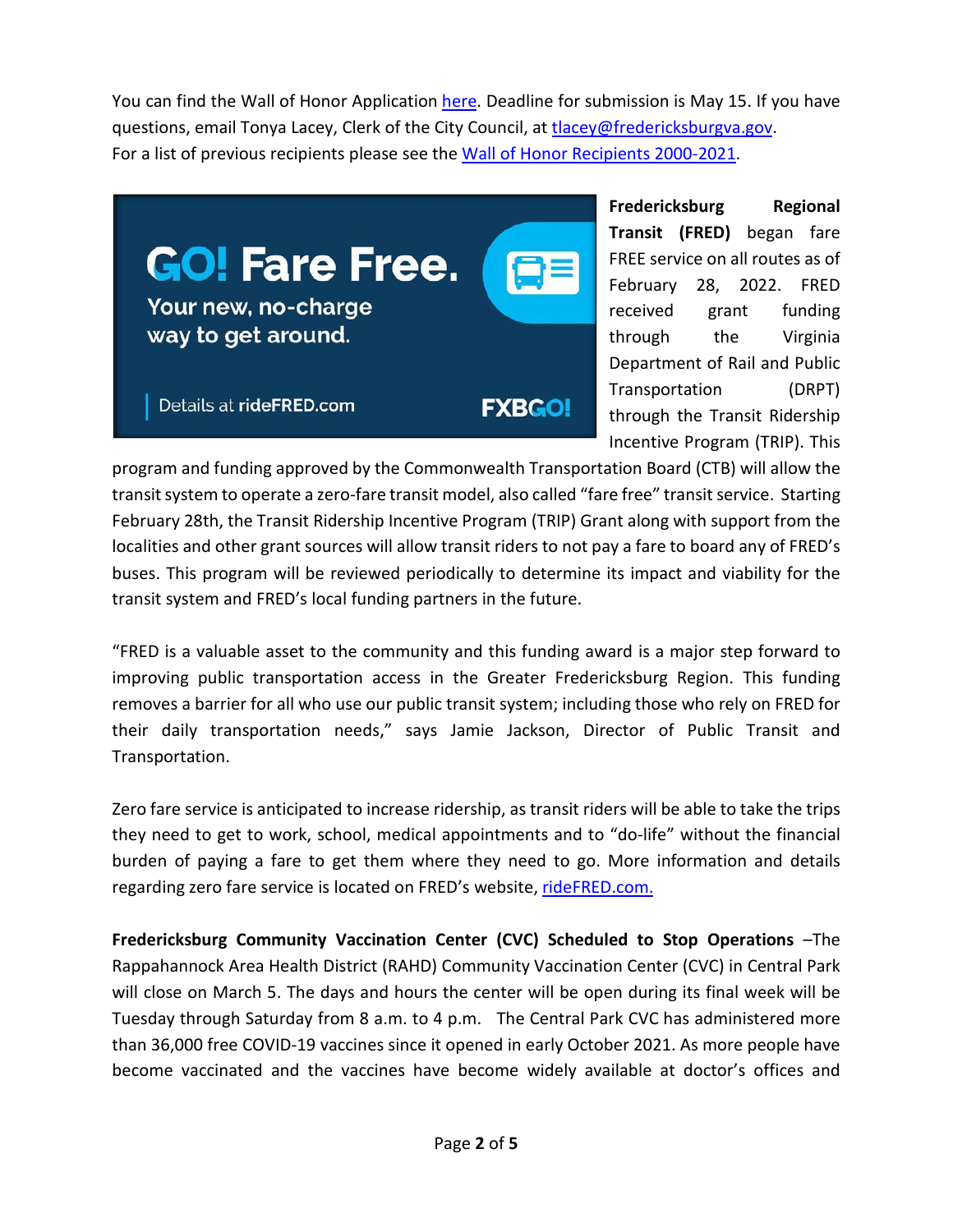You can find the Wall of Honor Application [here.](https://www.fredericksburgva.gov/DocumentCenter/View/20895/Wall-of-Honor-Recipients-2021) Deadline for submission is May 15. If you have questions, email Tonya Lacey, Clerk of the City Council, at [tlacey@fredericksburgva.gov.](mailto:tlacey@fredericksburgva.gov) For a list of previous recipients please see the [Wall of Honor Recipients 2000-2021.](https://www.fredericksburgva.gov/DocumentCenter/View/16061/Wall-of-Honor-Recipients-2020?bidId=)



**Fredericksburg Regional Transit (FRED)** began fare FREE service on all routes as of February 28, 2022. FRED received grant funding through the Virginia Department of Rail and Public Transportation (DRPT) through the Transit Ridership Incentive Program (TRIP). This

program and funding approved by the Commonwealth Transportation Board (CTB) will allow the transit system to operate a zero-fare transit model, also called "fare free" transit service. Starting February 28th, the Transit Ridership Incentive Program (TRIP) Grant along with support from the localities and other grant sources will allow transit riders to not pay a fare to board any of FRED's buses. This program will be reviewed periodically to determine its impact and viability for the transit system and FRED's local funding partners in the future.

"FRED is a valuable asset to the community and this funding award is a major step forward to improving public transportation access in the Greater Fredericksburg Region. This funding removes a barrier for all who use our public transit system; including those who rely on FRED for their daily transportation needs," says Jamie Jackson, Director of Public Transit and Transportation.

Zero fare service is anticipated to increase ridership, as transit riders will be able to take the trips they need to get to work, school, medical appointments and to "do-life" without the financial burden of paying a fare to get them where they need to go. More information and details regarding zero fare service is located on FRED's website, [rideFRED.com.](https://www.fredericksburgva.gov/transit)

**Fredericksburg Community Vaccination Center (CVC) Scheduled to Stop Operations** –The Rappahannock Area Health District (RAHD) Community Vaccination Center (CVC) in Central Park will close on March 5. The days and hours the center will be open during its final week will be Tuesday through Saturday from 8 a.m. to 4 p.m. The Central Park CVC has administered more than 36,000 free COVID-19 vaccines since it opened in early October 2021. As more people have become vaccinated and the vaccines have become widely available at doctor's offices and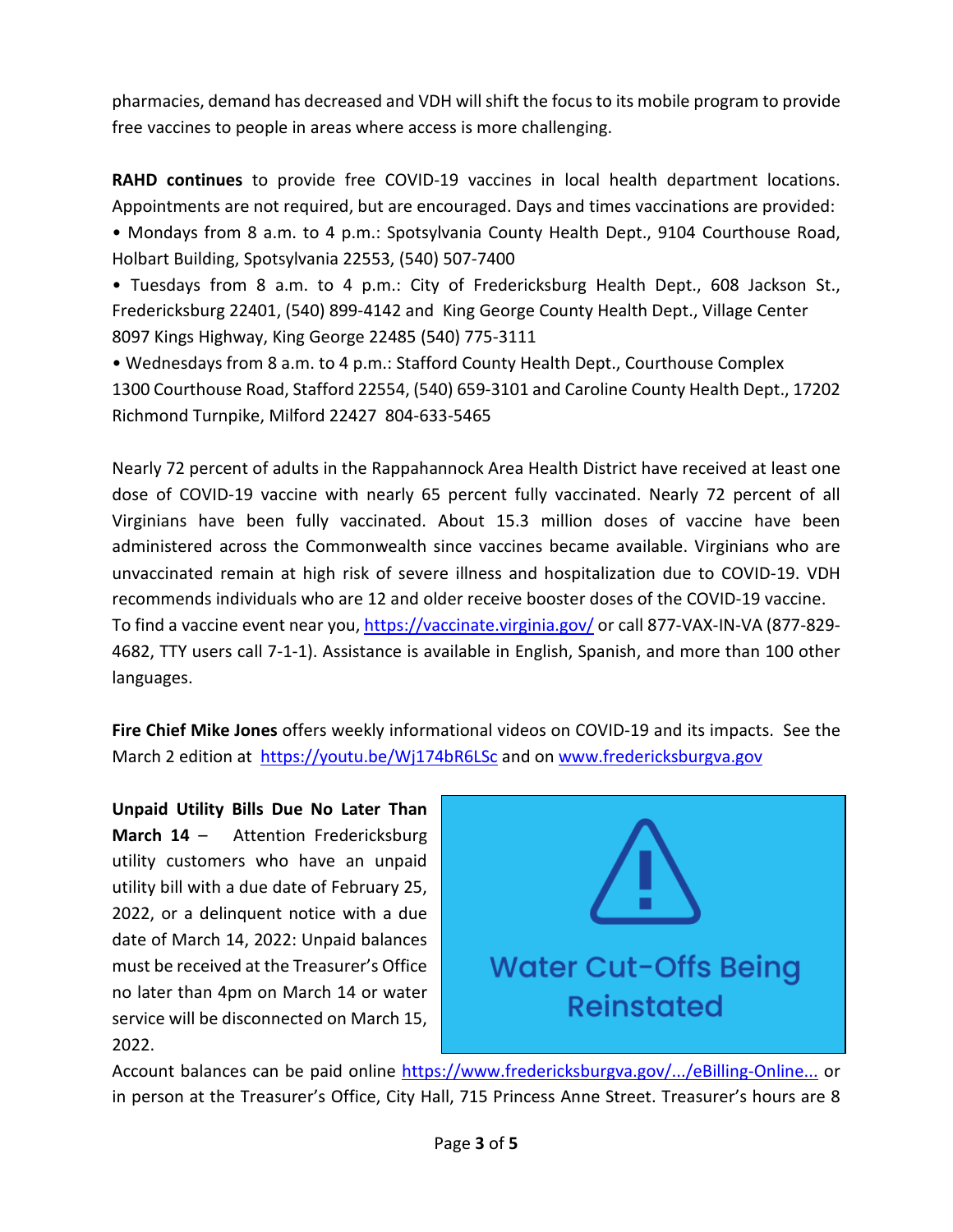pharmacies, demand has decreased and VDH will shift the focus to its mobile program to provide free vaccines to people in areas where access is more challenging.

**RAHD continues** to provide free COVID-19 vaccines in local health department locations. Appointments are not required, but are encouraged. Days and times vaccinations are provided:

• Mondays from 8 a.m. to 4 p.m.: Spotsylvania County Health Dept., 9104 Courthouse Road, Holbart Building, Spotsylvania 22553, (540) 507-7400

• Tuesdays from 8 a.m. to 4 p.m.: City of Fredericksburg Health Dept., 608 Jackson St., Fredericksburg 22401, (540) 899-4142 and King George County Health Dept., Village Center 8097 Kings Highway, King George 22485 (540) 775-3111

• Wednesdays from 8 a.m. to 4 p.m.: Stafford County Health Dept., Courthouse Complex 1300 Courthouse Road, Stafford 22554, (540) 659-3101 and Caroline County Health Dept., 17202 Richmond Turnpike, Milford 22427 804-633-5465

Nearly 72 percent of adults in the Rappahannock Area Health District have received at least one dose of COVID-19 vaccine with nearly 65 percent fully vaccinated. Nearly 72 percent of all Virginians have been fully vaccinated. About 15.3 million doses of vaccine have been administered across the Commonwealth since vaccines became available. Virginians who are unvaccinated remain at high risk of severe illness and hospitalization due to COVID-19. VDH recommends individuals who are 12 and older receive booster doses of the COVID-19 vaccine. To find a vaccine event near you, [https://vaccinate.virginia.gov/](https://vaccinate.virginia.gov/?fbclid=IwAR0WAobfGRV9d3S9q_G8vnYibX4laSFE4XH-3EPTyljv5eAE8pyn0CsXJXk) or call 877-VAX-IN-VA (877-829- 4682, TTY users call 7-1-1). Assistance is available in English, Spanish, and more than 100 other languages.

**Fire Chief Mike Jones** offers weekly informational videos on COVID-19 and its impacts. See the March 2 edition at [https://youtu.be/Wj174bR6LSc](https://l.facebook.com/l.php?u=https%3A%2F%2Fyoutu.be%2FWj174bR6LSc%3Ffbclid%3DIwAR3jy8pFkwIuJSVvhkJ7eCdSD5TgaqSlBkDqo2lJxZUCFO5J1ldnnmYrcC0&h=AT1gigA7eJc8YERMtoa6Ro4ytk2-7et6yRXryc4oExBOpUh36yT4Mo8olWgeK5MqnnvcVU6Bln3hFNzqRbYB9AEjyBQcZCfAQiVAuNqQyON7LnfqShX8pMHBN9L79utCNw&__tn__=-UK-R&c%5b0%5d=AT32OkJKnf4rM8dgI0aZ0l-QOvE7Itkg8keYsu_AB00qQnt7AtQKuR3bFZCjR9eUn4qyQtkWz2t1bo3gj7WkPYqishOa-z2FL79RrqcQwuqHUXUrvro-BMVfLxYkg_8KeNOx3PgMY3ED-8eVm4YcD-B4eqr_2intAhSfdX0YpSkEyg) and on [www.fredericksburgva.gov](http://www.fredericksburgva.gov/)

**Unpaid Utility Bills Due No Later Than March 14** – Attention Fredericksburg utility customers who have an unpaid utility bill with a due date of February 25, 2022, or a delinquent notice with a due date of March 14, 2022: Unpaid balances must be received at the Treasurer's Office no later than 4pm on March 14 or water service will be disconnected on March 15, 2022.



Account balances can be paid online [https://www.fredericksburgva.gov/.../eBilling-Online...](https://www.fredericksburgva.gov/1156/eBilling-Online-Payments?fbclid=IwAR0Si4y1UWgap6WRYdGb4-MajOqv0MEIlbmpHglhYLYieH2AItqQYTwXF0g) or in person at the Treasurer's Office, City Hall, 715 Princess Anne Street. Treasurer's hours are 8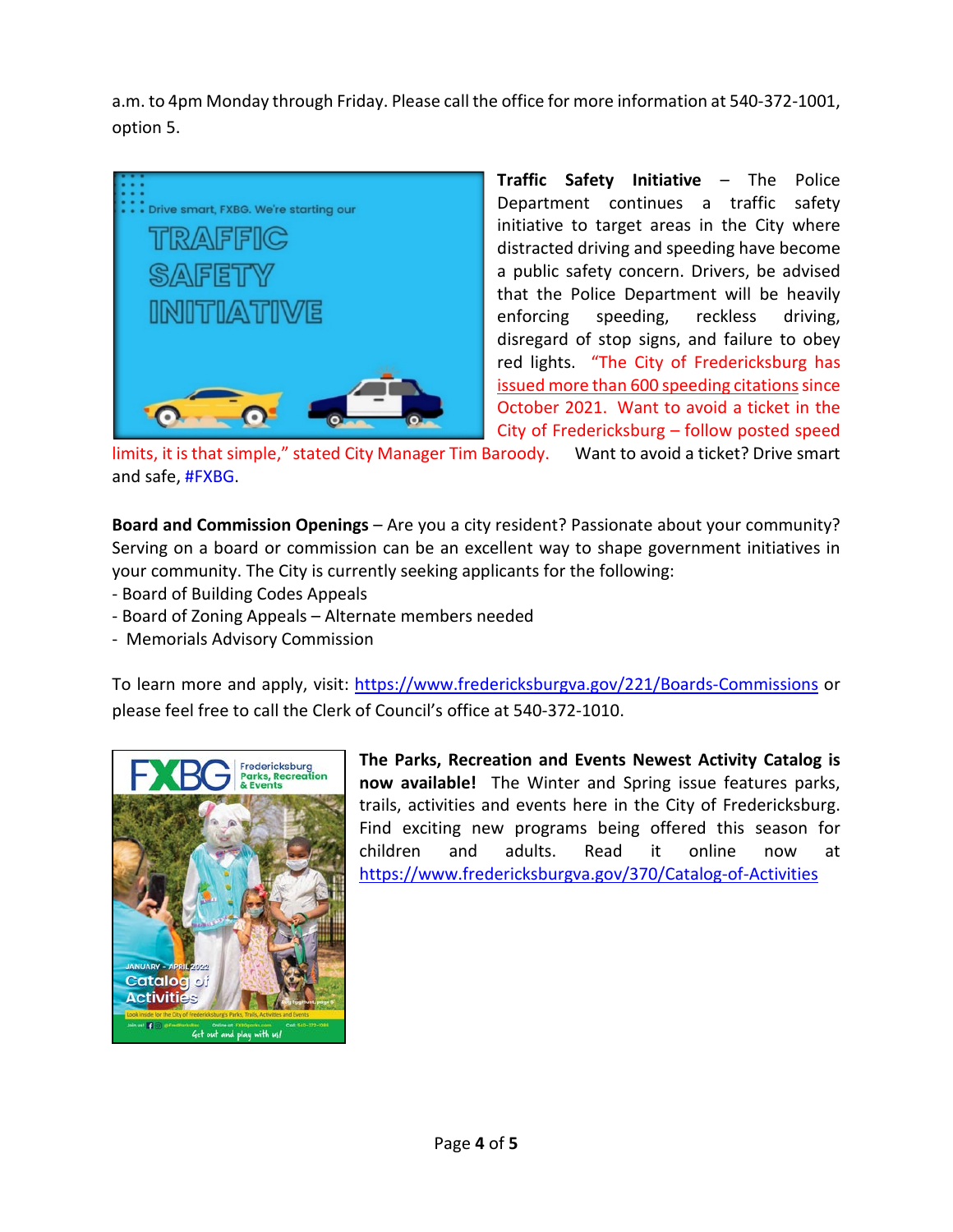a.m. to 4pm Monday through Friday. Please call the office for more information at 540-372-1001, option 5.



**Traffic Safety Initiative** – The Police Department continues a traffic safety initiative to target areas in the City where distracted driving and speeding have become a public safety concern. Drivers, be advised that the Police Department will be heavily enforcing speeding, reckless driving, disregard of stop signs, and failure to obey red lights. "The City of Fredericksburg has issued more than 600 speeding citations since October 2021. Want to avoid a ticket in the City of Fredericksburg – follow posted speed

limits, it is that simple," stated City Manager Tim Baroody. Want to avoid a ticket? Drive smart and safe, [#FXBG.](https://www.facebook.com/hashtag/fxbg?__eep__=6&__cft__%5b0%5d=AZWMm412bROIAlbQjxD2trcL3Q6v8XYnqGiab-pzxHyZlK2AO3wgxGBRUI7RVwNBLZmZ2AFcmkMI1noIapNQk5FV0YxTW81lYx9j2ZUaF9IJx3uquxKREP9bHkNftL_yP_oJd-S6PtYkPbEURGNVAWGUif-leaDtL7Fd9G0WEMmZNw&__tn__=*NK-R)

**Board and Commission Openings** – Are you a city resident? Passionate about your community? Serving on a board or commission can be an excellent way to shape government initiatives in your community. The City is currently seeking applicants for the following:

- Board of Building Codes Appeals
- Board of Zoning Appeals Alternate members needed
- Memorials Advisory Commission

To learn more and apply, visit: [https://www.fredericksburgva.gov/221/Boards-Commissions](https://www.fredericksburgva.gov/221/Boards-Commissions?fbclid=IwAR3Swf9IZu1tYdO_SK6yHxjMXxdd4Ba6LVkEpP0zTgegU6_SRsXEh2JIYGY) or please feel free to call the Clerk of Council's office at 540-372-1010.



**The Parks, Recreation and Events Newest Activity Catalog is now available!** The Winter and Spring issue features parks, trails, activities and events here in the City of Fredericksburg. Find exciting new programs being offered this season for children and adults. Read it online now at [https://www.fredericksburgva.gov/370/Catalog-of-Activities](https://www.fredericksburgva.gov/370/Catalog-of-Activities#_blank)